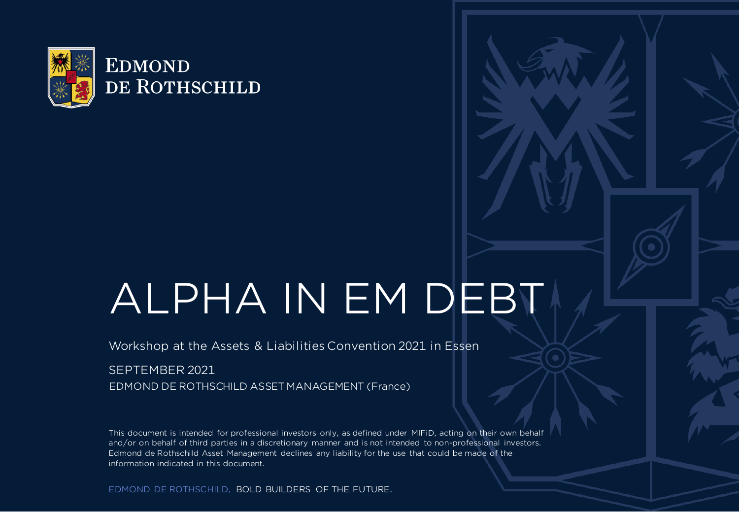

# ALPHA IN EM DEBT

Workshop at the Assets & Liabilities Convention 2021 in Essen

### SEPTEMBER 2021

EDMOND DE ROTHSCHILD ASSET MANAGEMENT (France)

This document is intended for professional investors only, as defined under MIFiD, acting on their own behalf and/or on behalf of third parties in a discretionary manner and is not intended to non-professional investors. Edmond de Rothschild Asset Management declines any liability for the use that could be made of the information indicated in this document.

EDMOND DE ROTHSCHILD, BOLD BUILDERS OF THE FUTURE.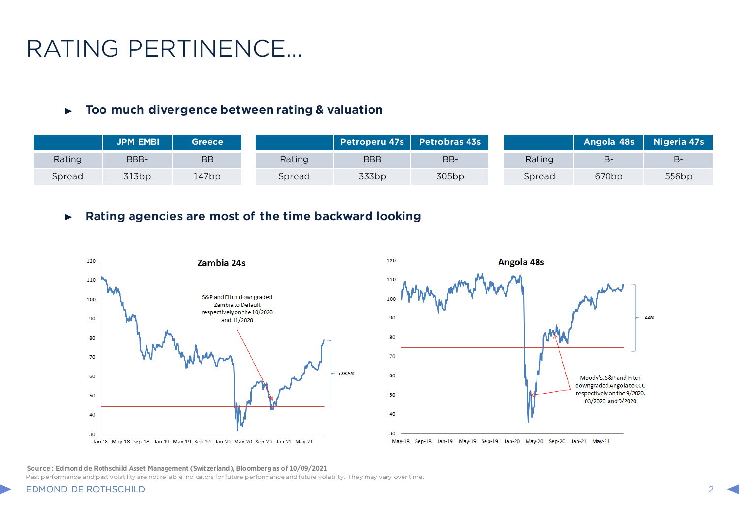## RATING PERTINENCE…

#### **Too much divergence between rating & valuation**  $\blacktriangleright$

|        | <b>JPM EMBI</b> | Greece    |        | <b>Petroperu 47s</b> | <b>Petrobras 43s</b> |        | Angola 48s        | Nigeria 47s |
|--------|-----------------|-----------|--------|----------------------|----------------------|--------|-------------------|-------------|
| Rating | BBB-            | <b>BB</b> | Rating | <b>BBB</b>           | BB-                  | Rating | в-                |             |
| Spread | 313bp           | 147bp     | Spread | 333bp                | 305bp                | Spread | 670 <sub>bp</sub> | 556bp       |

#### **Rating agencies are most of the time backward looking**  $\blacktriangleright$





**Source : Edmond de Rothschild Asset Management (Switzerland), Bloomberg as of 10/09/2021**

Past performance and past volatility are not reliable indicators for future performance and future volatility. They may vary over time.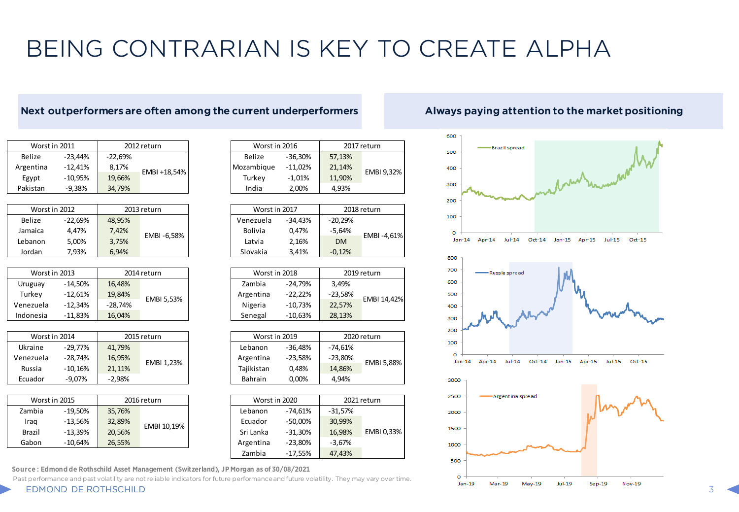## BEING CONTRARIAN IS KEY TO CREATE ALPHA

### **Next outperformers are often among the current underperformers Always paying attention to the market positioning**

| Worst in 2011 |           |           | 2012 return  | Worst in 2016 |            | 201    |
|---------------|-----------|-----------|--------------|---------------|------------|--------|
| Belize        | $-23.44%$ | $-22.69%$ |              | Belize        | $-36.30%$  | 57,13% |
| Argentina     | $-12.41%$ | 8.17%     | EMBI +18,54% | Mozambique    | $-11.02\%$ | 21.14% |
| Egypt         | $-10.95%$ | 19,66%    |              | Turkev        | $-1.01%$   | 11.90% |
| Pakistan      | $-9.38%$  | 34.79%    |              | India         | 2.00%      | 4.93%  |

| Worst in 2012 |           |        | 2013 return | Worst in 2017 |            | 201       |       |          |
|---------------|-----------|--------|-------------|---------------|------------|-----------|-------|----------|
| <b>Belize</b> | $-22.69%$ | 48.95% |             | Venezuela     | $-34.43%$  | $-20.29%$ |       |          |
| Jamaica       | 4.47%     | 7.42%  |             |               | EMBI-6.58% | Bolivia   | 0.47% | $-5.64%$ |
| Lebanon       | 5.00%     | 3.75%  |             | Latvia        | 2.16%      | <b>DM</b> |       |          |
| Jordan        | 7.93%     | 6.94%  |             | Slovakia      | 3.41%      | $-0.12%$  |       |          |

| Worst in 2013 |           |           | 2014 return | Worst in 2018 |           | 201       |
|---------------|-----------|-----------|-------------|---------------|-----------|-----------|
| Uruguay       | $-14.50%$ | 16.48%    |             | Zambia        | $-24.79%$ | 3.49%     |
| Turkev        | $-12.61%$ | 19,84%    | EMBI 5,53%  | Argentina     | $-22.22%$ | $-23,58%$ |
| Venezuela     | -12.34%   | $-28.74%$ |             | Nigeria       | $-10.73%$ | 22,57%    |
| Indonesia     | $-11.83%$ | 16.04%    |             | Senegal       | $-10.63%$ | 28,13%    |

| Worst in 2014 |            |          | 2015 return | Worst in 2019 |           | 202       |
|---------------|------------|----------|-------------|---------------|-----------|-----------|
| Ukraine       | $-29.77\%$ | 41.79%   |             | Lebanon       | $-36.48%$ | -74.61%   |
| Venezuela     | $-28.74\%$ | 16.95%   | EMBI 1.23%  | Argentina     | $-23.58%$ | $-23.80%$ |
| Russia        | $-10.16%$  | 21,11%   |             | Tajikistan    | 0.48%     | 14,86%    |
| Ecuador       | $-9.07%$   | $-2.98%$ |             | Bahrain       | 0.00%     | 4.94%     |

| Worst in 2015 |           |        | 2016 return | Worst in 2020 |           | 202       |
|---------------|-----------|--------|-------------|---------------|-----------|-----------|
| Zambia        | $-19.50%$ | 35,76% |             | Lebanon       | $-74.61%$ | $-31,57%$ |
| Iraq          | $-13.56%$ | 32,89% | EMBI 10,19% | Ecuador       | $-50,00%$ | 30,99%    |
| <b>Brazil</b> | $-13.39%$ | 20,56% |             | Sri Lanka     | $-31.30%$ | 16,98%    |
| Gabon         | $-10.64%$ | 26,55% |             | Argentina     | $-23,80%$ | $-3,67%$  |
|               |           |        |             |               |           |           |

**Source : Edmond de Rothschild Asset Management (Switzerland), JP Morgan as of 30/08/2021**

Past performance and past volatility are not reliable indicators for future performance and future volatility. They may vary over time.

| Worst in 2016 |           | 2017 return |            |  |
|---------------|-----------|-------------|------------|--|
| <b>Belize</b> | $-36,30%$ | 57,13%      |            |  |
| Aozambique    | $-11,02%$ | 21,14%      | EMBI 9,32% |  |
| Turkey        | $-1,01%$  | 11,90%      |            |  |
| India         | 2,00%     | 4.93%       |            |  |

| Worst in 2017 |           | 2018 return |            |  |
|---------------|-----------|-------------|------------|--|
| Venezuela     | $-34,43%$ | $-20,29%$   |            |  |
| Bolivia       | 0.47%     | $-5,64%$    | EMBI-4,61% |  |
| Latvia        | 2,16%     | <b>DM</b>   |            |  |
| Slovakia      | 3,41%     | $-0.12%$    |            |  |

| Worst in 2018 |           | 2019 return |             |  |
|---------------|-----------|-------------|-------------|--|
| Zambia        | $-24,79%$ | 3,49%       |             |  |
| Argentina     | $-22,22%$ | $-23,58%$   | EMBI 14,42% |  |
| Nigeria       | $-10,73%$ | 22,57%      |             |  |
| Senegal       | $-10,63%$ | 28,13%      |             |  |
|               |           |             |             |  |

| Worst in 2019 |           | 2020 return |            |  |
|---------------|-----------|-------------|------------|--|
| Lebanon       | $-36,48%$ | $-74,61%$   |            |  |
| Argentina     | $-23,58%$ | $-23,80%$   | EMBI 5,88% |  |
| Tajikistan    | 0,48%     | 14,86%      |            |  |
| Bahrain       | 0,00%     | 4.94%       |            |  |

| Worst in 2020 |           | 2021 return |            |  |
|---------------|-----------|-------------|------------|--|
| Lebanon       | $-74,61%$ | $-31,57%$   |            |  |
| Ecuador       | $-50,00%$ | 30,99%      |            |  |
| Sri Lanka     | $-31,30%$ | 16,98%      | EMBI 0,33% |  |
| Argentina     | $-23,80%$ | $-3,67%$    |            |  |
| Zambia        | $-17,55%$ | 47,43%      |            |  |

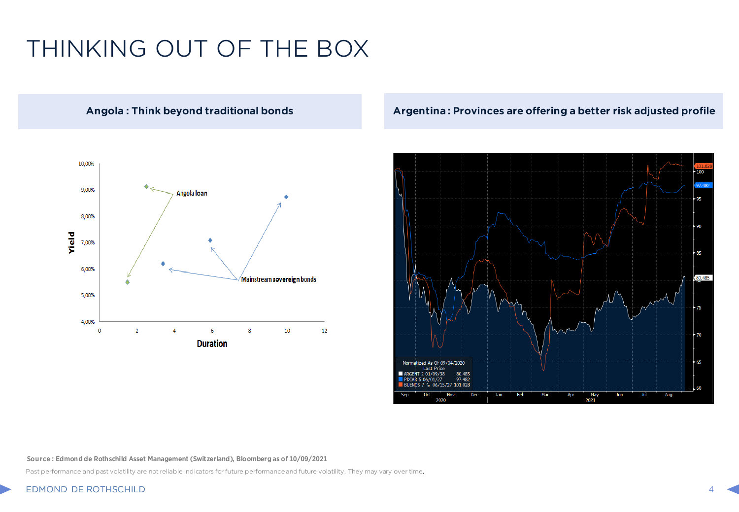## THINKING OUT OF THE BOX



### **Angola : Think beyond traditional bonds Argentina : Provinces are offering a better risk adjusted profile**



#### **Source : Edmond de Rothschild Asset Management (Switzerland), Bloomberg as of 10/09/2021**

Past performance and past volatility are not reliable indicators for future performance and future volatility. They may vary over time.

#### EDMOND DE ROTHSCHILD 4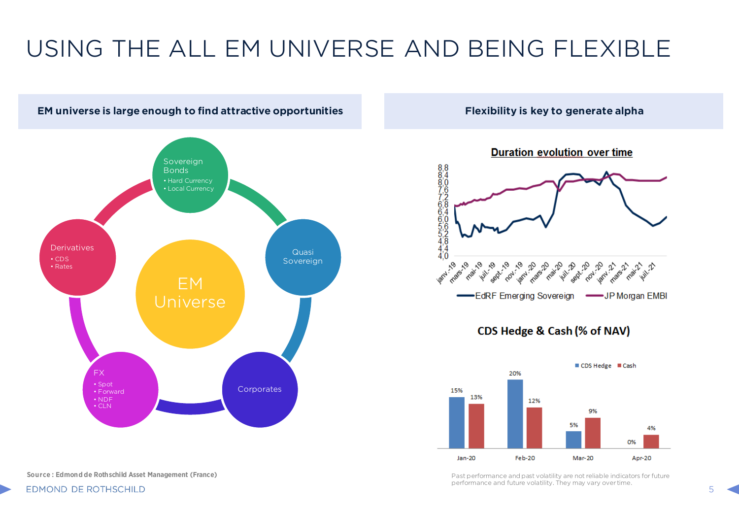## USING THE ALL EM UNIVERSE AND BEING FLEXIBLE



**Source : Edmond de Rothschild Asset Management (France)**



performance and future volatility. They may vary over time.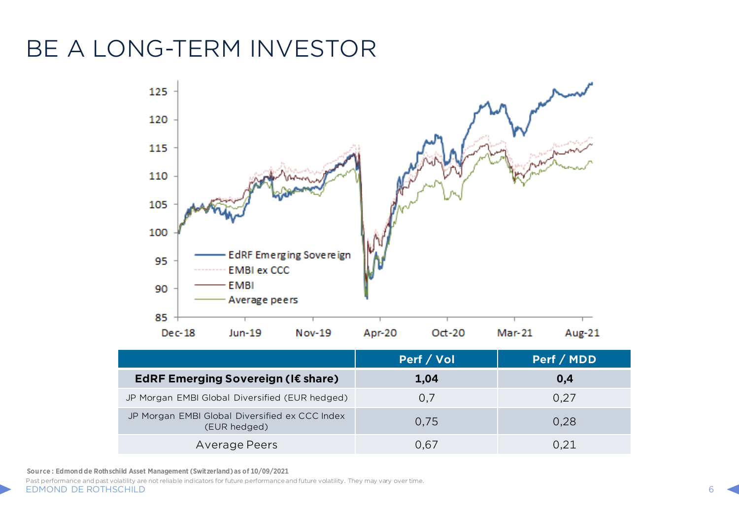## BE A LONG-TERM INVESTOR



|                                                                | Perf / Vol | Perf / MDD |
|----------------------------------------------------------------|------------|------------|
| EdRF Emerging Sovereign (I€ share)                             | 1,04       | 0,4        |
| JP Morgan EMBI Global Diversified (EUR hedged)                 | 0,7        | 0.27       |
| JP Morgan EMBI Global Diversified ex CCC Index<br>(EUR hedged) | 0.75       | 0,28       |
| Average Peers                                                  | 0.67       | 0.21       |

**Source : Edmond de Rothschild Asset Management (Switzerland) as of 10/09/2021**

Past performance and past volatility are not reliable indicators for future performance and future volatility. They may vary over time.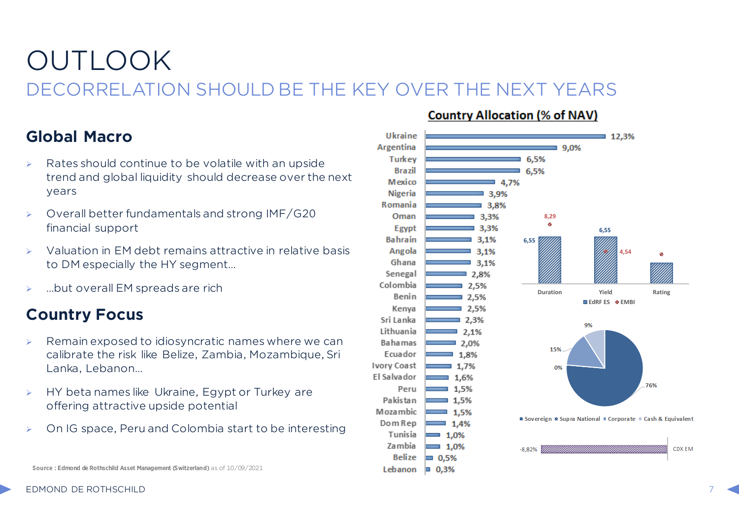## OUTLOOK DECORRELATION SHOULD BE THE KEY OVER THE NEXT YEARS

### **Global Macro**

- Rates should continue to be volatile with an upside trend and global liquidity should decrease over the next years
- $\triangleright$  Overall better fundamentals and strong IMF/G20 financial support
- Valuation in EM debt remains attractive in relative basis to DM especially the HY segment…
- …but overall EM spreads are rich

### **Country Focus**

- Remain exposed to idiosyncratic names where we can calibrate the risk like Belize, Zambia, Mozambique, Sri Lanka, Lebanon…
- HY beta names like Ukraine, Egypt or Turkey are offering attractive upside potential
- On IG space, Peru and Colombia start to be interesting
- 

### **Country Allocation (% of NAV)**



EDMOND DE ROTHSCHILD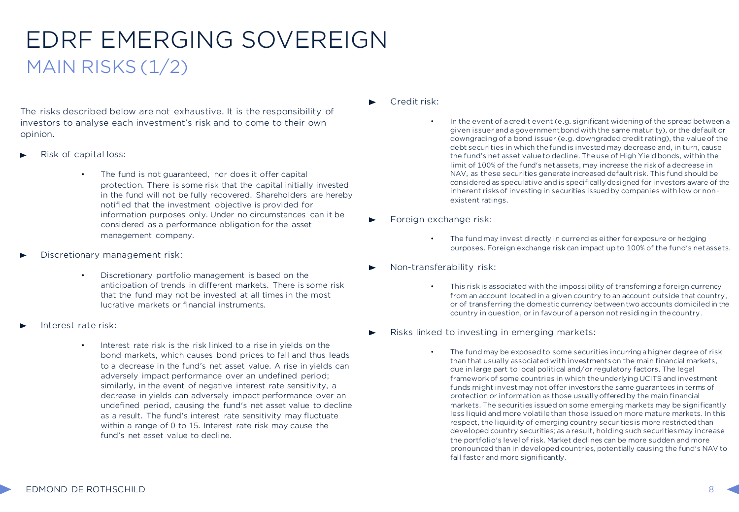## EDRF EMERGING SOVEREIGN MAIN RISKS  $(1/2)$

The risks described below are not exhaustive. It is the responsibility of investors to analyse each investment's risk and to come to their own opinion.

- Risk of capital loss:
	- The fund is not guaranteed, nor does it offer capital protection. There is some risk that the capital initially invested in the fund will not be fully recovered. Shareholders are hereby notified that the investment objective is provided for information purposes only. Under no circumstances can it be considered as a performance obligation for the asset management company.
- Discretionary management risk:
	- Discretionary portfolio management is based on the anticipation of trends in different markets. There is some risk that the fund may not be invested at all times in the most lucrative markets or financial instruments.
- Interest rate risk:
	- Interest rate risk is the risk linked to a rise in yields on the bond markets, which causes bond prices to fall and thus leads to a decrease in the fund's net asset value. A rise in yields can adversely impact performance over an undefined period; similarly, in the event of negative interest rate sensitivity, a decrease in yields can adversely impact performance over an undefined period, causing the fund's net asset value to decline as a result. The fund's interest rate sensitivity may fluctuate within a range of 0 to 15. Interest rate risk may cause the fund's net asset value to decline.

#### Credit risk:

- In the event of a credit event (e.g. significant widening of the spread between a given issuer and a government bond with the same maturity), or the default or downgrading of a bond issuer (e.g. downgraded credit rating), the value of the debt securities in which the fund is invested may decrease and, in turn, cause the fund's net asset value to decline. The use of High Yield bonds, within the limit of 100% of the fund's net assets, may increase the risk of a decrease in NAV, as these securities generate increased default risk. This fund should be considered as speculative and is specifically designed for investors aware of the inherent risks of investing in securities issued by companies with low or nonexistent ratings.
- Foreign exchange risk:
	- The fund may invest directly in currencies either for exposure or hedging purposes. Foreign exchange risk can impact up to 100% of the fund's net assets.
- Non-transferability risk:
	- This risk is associated with the impossibility of transferring a foreign currency from an account located in a given country to an account outside that country, or of transferring the domestic currency between two accounts domiciled in the country in question, or in favour of a person not residing in the country.
- Risks linked to investing in emerging markets:
	- The fund may be exposed to some securities incurring a higher degree of risk than that usually associated with investments on the main financial markets, due in large part to local political and/or regulatory factors. The legal framework of some countries in which the underlying UCITS and investment funds might invest may not offer investors the same guarantees in terms of protection or information as those usually offered by the main financial markets. The securities issued on some emerging markets may be significantly less liquid and more volatile than those issued on more mature markets. In this respect, the liquidity of emerging country securities is more restricted than developed country securities; as a result, holding such securities may increase the portfolio's level of risk. Market declines can be more sudden and more pronounced than in developed countries, potentially causing the fund's NAV to fall faster and more significantly.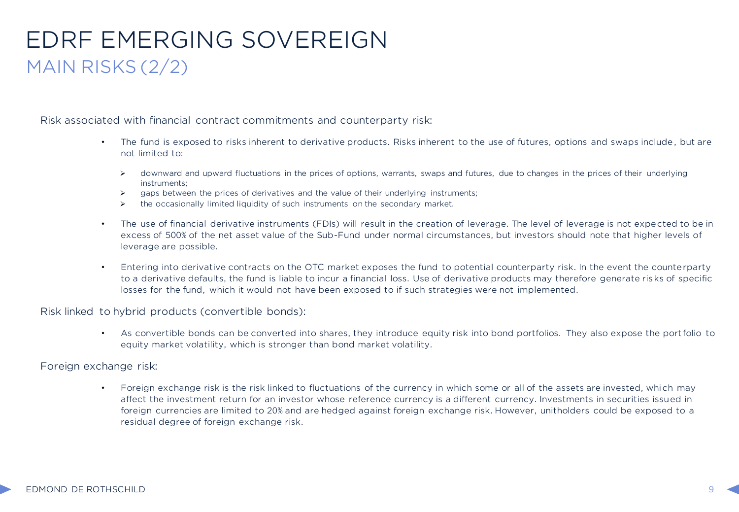### EDRF EMERGING SOVEREIGN MAIN RISKS (2/2)

Risk associated with financial contract commitments and counterparty risk:

- The fund is exposed to risks inherent to derivative products. Risks inherent to the use of futures, options and swaps include, but are not limited to:
	- $\triangleright$  downward and upward fluctuations in the prices of options, warrants, swaps and futures, due to changes in the prices of their underlying instruments;
	- $\triangleright$  gaps between the prices of derivatives and the value of their underlying instruments;
	- $\triangleright$  the occasionally limited liquidity of such instruments on the secondary market.
- The use of financial derivative instruments (FDIs) will result in the creation of leverage. The level of leverage is not expected to be in excess of 500% of the net asset value of the Sub-Fund under normal circumstances, but investors should note that higher levels of leverage are possible.
- Entering into derivative contracts on the OTC market exposes the fund to potential counterparty risk. In the event the counterparty to a derivative defaults, the fund is liable to incur a financial loss. Use of derivative products may therefore generate ris ks of specific losses for the fund, which it would not have been exposed to if such strategies were not implemented.

Risk linked to hybrid products (convertible bonds):

• As convertible bonds can be converted into shares, they introduce equity risk into bond portfolios. They also expose the port folio to equity market volatility, which is stronger than bond market volatility.

Foreign exchange risk:

• Foreign exchange risk is the risk linked to fluctuations of the currency in which some or all of the assets are invested, which may affect the investment return for an investor whose reference currency is a different currency. Investments in securities issued in foreign currencies are limited to 20% and are hedged against foreign exchange risk. However, unitholders could be exposed to a residual degree of foreign exchange risk.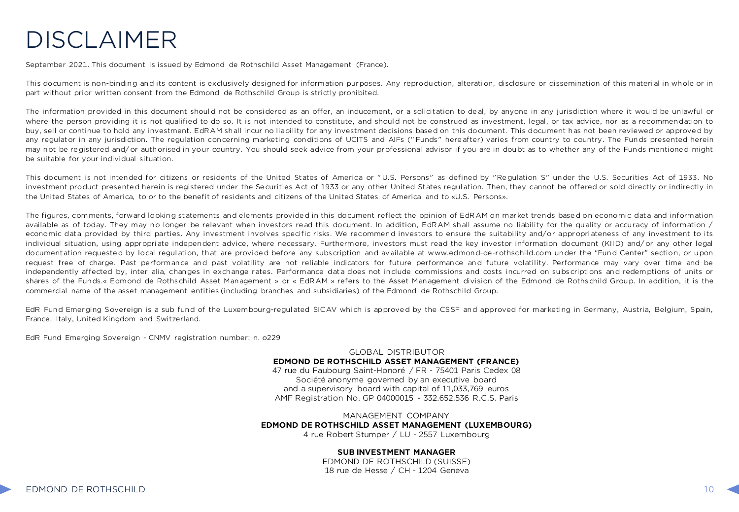## DISCLAIMER

September 2021. This document is issued by Edmond de Rothschild Asset Management (France).

This document is non-binding and its content is exclusively designed for information purposes. Any reproduction, alteration, disclosure or dissemination of this material in whole or in part without prior written consent from the Edmond de Rothschild Group is strictly prohibited.

The information provided in this document should not be considered as an offer, an inducement, or a solicitation to deal, by anyone in any jurisdiction where it would be unlawful or where the person providing it is not qualified to do so. It is not intended to constitute, and should not be construed as investment, legal, or tax advice, nor as a recommendation to buy, sell or continue to hold any investment. EdRAM shall incur no liability for any investment decisions based on this document. This document has not been reviewed or approved by any regulator in any jurisdiction. The regulation concerning marketing conditions of UCITS and AIFs ("Funds" hereafter) varies from country to country. The Funds presented herein may not be registered and/or authorised in your country. You should seek advice from your professional advisor if you are in doubt as to whether any of the Funds mentioned might be suitable for your individual situation.

This document is not intended for citizens or residents of the United States of America or "U.S. Persons" as defined by "Regulation S" under the U.S. Securities Act of 1933. No investment product presented herein is registered under the Securities Act of 1933 or any other United States regul ation. Then, they cannot be offered or sold directly or indirectly in the United States of America, to or to the benefit of residents and citizens of the United States of America and to «U.S. Persons».

The figures, comments, forward looking statements and elements provided in this document reflect the opinion of EdRAM on market trends based on economic data and information available as of today. They may no longer be relevant when investors read this document. In addition, EdRAM shall assume no liability for the quality or accuracy of information / economic data provided by third parties. Any investment involves specific risks. We recommend investors to ensure the suitability and/or appropriateness of any investment to its individual situation, using appropriate independent advice, where necessary. Furthermore, investors must read the key investor information document (KIID) and/or any other legal documentation requested by local regul ation, that are provided before any subscription and available at www.edmond-de-rothschild.com under the "Fund Center" section, or upon request free of charge. Past performance and past volatility are not reliable indicators for future performance and future volatility. Performance may vary over time and be independently affected by, inter alia, changes in exchange rates. Performance data does not include commissions and costs incurred on subscriptions and redemptions of units or shares of the Funds.« Edmond de Rothschild Asset Management » or « EdRAM » refers to the Asset Management division of the Edmond de Rothschild Group. In addition, it is the commercial name of the asset management entities (including branches and subsidiaries) of the Edmond de Rothschild Group.

EdR Fund Emerging Sovereign is a sub fund of the Luxembourg-regulated SICAV which is approved by the CSSF and approved for marketing in Germany, Austria, Belgium, Spain, France, Italy, United Kingdom and Switzerland.

EdR Fund Emerging Sovereign - CNMV registration number: n. o229

GLOBAL DISTRIBUTOR **EDMOND DE ROTHSCHILD ASSET MANAGEMENT (FRANCE)** 47 rue du Faubourg Saint-Honoré / FR - 75401 Paris Cedex 08 Société anonyme governed by an executive board and a supervisory board with capital of 11,033,769 euros AMF Registration No. GP 04000015 - 332.652.536 R.C.S. Paris

MANAGEMENT COMPANY **EDMOND DE ROTHSCHILD ASSET MANAGEMENT (LUXEMBOURG)**

4 rue Robert Stumper / LU - 2557 Luxembourg

#### **SUB INVESTMENT MANAGER**

EDMOND DE ROTHSCHILD (SUISSE) 18 rue de Hesse / CH - 1204 Geneva